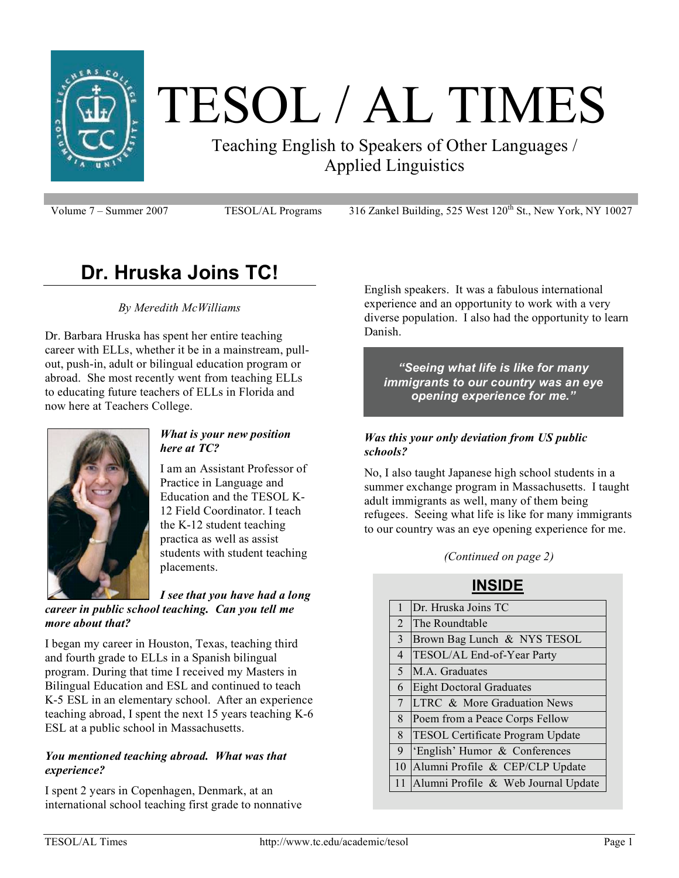

# TESOL / AL TIMES

Teaching English to Speakers of Other Languages / Applied Linguistics

Volume 7 – Summer 2007 TESOL/AL Programs 316 Zankel Building, 525 West 120<sup>th</sup> St., New York, NY 10027

# **Dr. Hruska Joins TC!**

*By Meredith McWilliams*

Dr. Barbara Hruska has spent her entire teaching career with ELLs, whether it be in a mainstream, pullout, push-in, adult or bilingual education program or abroad. She most recently went from teaching ELLs to educating future teachers of ELLs in Florida and now here at Teachers College.



#### *What is your new position here at TC?*

I am an Assistant Professor of Practice in Language and Education and the TESOL K-12 Field Coordinator. I teach the K-12 student teaching practica as well as assist students with student teaching placements.

*I see that you have had a long career in public school teaching. Can you tell me more about that?*

I began my career in Houston, Texas, teaching third and fourth grade to ELLs in a Spanish bilingual program. During that time I received my Masters in Bilingual Education and ESL and continued to teach K-5 ESL in an elementary school. After an experience teaching abroad, I spent the next 15 years teaching K-6 ESL at a public school in Massachusetts.

#### *You mentioned teaching abroad. What was that experience?*

I spent 2 years in Copenhagen, Denmark, at an international school teaching first grade to nonnative English speakers. It was a fabulous international experience and an opportunity to work with a very diverse population. I also had the opportunity to learn Danish.

*"Seeing what life is like for many immigrants to our country was an eye opening experience for me."*

#### *Was this your only deviation from US public schools?*

No, I also taught Japanese high school students in a summer exchange program in Massachusetts. I taught adult immigrants as well, many of them being refugees. Seeing what life is like for many immigrants to our country was an eye opening experience for me.

*(Continued on page 2)*

#### **INSIDE**

| 1              | Dr. Hruska Joins TC                     |  |  |
|----------------|-----------------------------------------|--|--|
| 2              | The Roundtable                          |  |  |
| 3              | Brown Bag Lunch & NYS TESOL             |  |  |
| $\overline{4}$ | TESOL/AL End-of-Year Party              |  |  |
| 5              | M.A. Graduates                          |  |  |
| 6              | <b>Eight Doctoral Graduates</b>         |  |  |
| $\overline{7}$ | LTRC & More Graduation News             |  |  |
| 8              | Poem from a Peace Corps Fellow          |  |  |
| 8              | <b>TESOL Certificate Program Update</b> |  |  |
| 9              | 'English' Humor & Conferences           |  |  |
| 10             | Alumni Profile & CEP/CLP Update         |  |  |
| 11             | Alumni Profile & Web Journal Update     |  |  |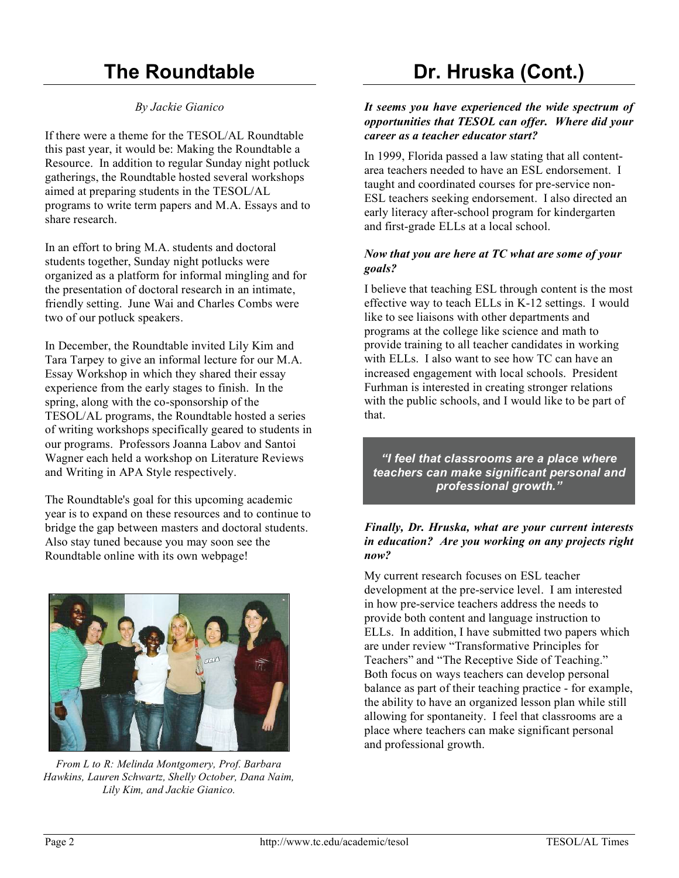# **The Roundtable**

#### *By Jackie Gianico*

If there were a theme for the TESOL/AL Roundtable this past year, it would be: Making the Roundtable a Resource. In addition to regular Sunday night potluck gatherings, the Roundtable hosted several workshops aimed at preparing students in the TESOL/AL programs to write term papers and M.A. Essays and to share research.

In an effort to bring M.A. students and doctoral students together, Sunday night potlucks were organized as a platform for informal mingling and for the presentation of doctoral research in an intimate, friendly setting. June Wai and Charles Combs were two of our potluck speakers.

In December, the Roundtable invited Lily Kim and Tara Tarpey to give an informal lecture for our M.A. Essay Workshop in which they shared their essay experience from the early stages to finish. In the spring, along with the co-sponsorship of the TESOL/AL programs, the Roundtable hosted a series of writing workshops specifically geared to students in our programs. Professors Joanna Labov and Santoi Wagner each held a workshop on Literature Reviews and Writing in APA Style respectively.

The Roundtable's goal for this upcoming academic year is to expand on these resources and to continue to bridge the gap between masters and doctoral students. Also stay tuned because you may soon see the Roundtable online with its own webpage!



*From L to R: Melinda Montgomery, Prof. Barbara Hawkins, Lauren Schwartz, Shelly October, Dana Naim, Lily Kim, and Jackie Gianico.*

# **Dr. Hruska (Cont.)**

#### *It seems you have experienced the wide spectrum of opportunities that TESOL can offer. Where did your career as a teacher educator start?*

In 1999, Florida passed a law stating that all contentarea teachers needed to have an ESL endorsement. I taught and coordinated courses for pre-service non-ESL teachers seeking endorsement. I also directed an early literacy after-school program for kindergarten and first-grade ELLs at a local school.

#### *Now that you are here at TC what are some of your goals?*

I believe that teaching ESL through content is the most effective way to teach ELLs in K-12 settings. I would like to see liaisons with other departments and programs at the college like science and math to provide training to all teacher candidates in working with ELLs. I also want to see how TC can have an increased engagement with local schools. President Furhman is interested in creating stronger relations with the public schools, and I would like to be part of that.

*"I feel that classrooms are a place where teachers can make significant personal and professional growth."*

#### *Finally, Dr. Hruska, what are your current interests in education? Are you working on any projects right now?*

My current research focuses on ESL teacher development at the pre-service level. I am interested in how pre-service teachers address the needs to provide both content and language instruction to ELLs. In addition, I have submitted two papers which are under review "Transformative Principles for Teachers" and "The Receptive Side of Teaching." Both focus on ways teachers can develop personal balance as part of their teaching practice - for example, the ability to have an organized lesson plan while still allowing for spontaneity. I feel that classrooms are a place where teachers can make significant personal and professional growth.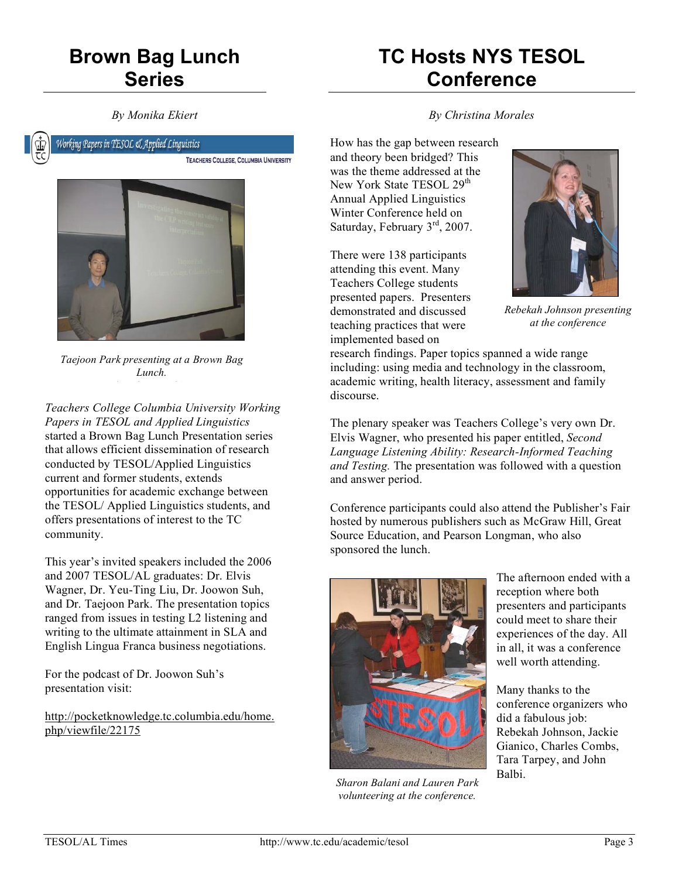# **Brown Bag Lunch Series**

*By Monika Ekiert*

# **TC Hosts NYS TESOL Conference**



Working Papers in TESOL & Applied Linguistics TEACHERS COLLEGE, COLUMBIA UNIVERSITY



*Taejoon Park presenting at a Brown Bag Lunch. Photo by M. Ekiert*

*Teachers College Columbia University Working Papers in TESOL and Applied Linguistics* started a Brown Bag Lunch Presentation series that allows efficient dissemination of research conducted by TESOL/Applied Linguistics current and former students, extends opportunities for academic exchange between the TESOL/ Applied Linguistics students, and offers presentations of interest to the TC community.

This year's invited speakers included the 2006 and 2007 TESOL/AL graduates: Dr. Elvis Wagner, Dr. Yeu-Ting Liu, Dr. Joowon Suh, and Dr. Taejoon Park. The presentation topics ranged from issues in testing L2 listening and writing to the ultimate attainment in SLA and English Lingua Franca business negotiations.

For the podcast of Dr. Joowon Suh's presentation visit:

http://pocketknowledge.tc.columbia.edu/home. php/viewfile/22175

*By Christina Morales*

How has the gap between research and theory been bridged? This was the theme addressed at the New York State TESOL 29<sup>th</sup> Annual Applied Linguistics Winter Conference held on Saturday, February 3<sup>rd</sup>, 2007.

There were 138 participants attending this event. Many Teachers College students presented papers. Presenters demonstrated and discussed teaching practices that were implemented based on



*Rebekah Johnson presenting at the conference*

research findings. Paper topics spanned a wide range including: using media and technology in the classroom, academic writing, health literacy, assessment and family discourse.

The plenary speaker was Teachers College's very own Dr. Elvis Wagner, who presented his paper entitled, *Second Language Listening Ability: Research-Informed Teaching and Testing.* The presentation was followed with a question and answer period.

Conference participants could also attend the Publisher's Fair hosted by numerous publishers such as McGraw Hill, Great Source Education, and Pearson Longman, who also sponsored the lunch.



*Sharon Balani and Lauren Park volunteering at the conference.*

The afternoon ended with a reception where both presenters and participants could meet to share their experiences of the day. All in all, it was a conference well worth attending.

Many thanks to the conference organizers who did a fabulous job: Rebekah Johnson, Jackie Gianico, Charles Combs, Tara Tarpey, and John Balbi.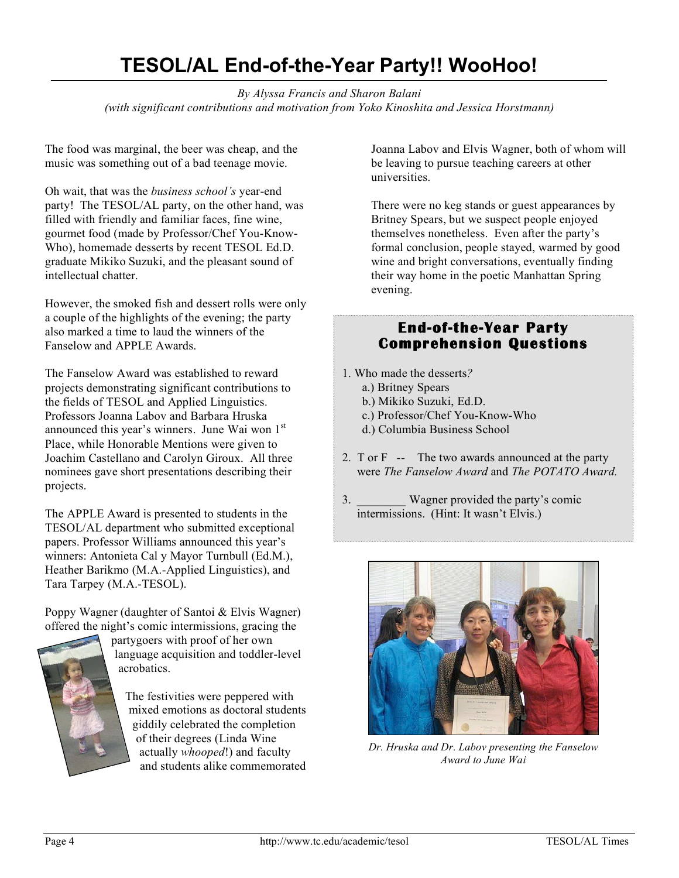### **TESOL/AL End-of-the-Year Party!! WooHoo!**

*By Alyssa Francis and Sharon Balani (with significant contributions and motivation from Yoko Kinoshita and Jessica Horstmann)*

The food was marginal, the beer was cheap, and the music was something out of a bad teenage movie.

Oh wait, that was the *business school's* year-end party! The TESOL/AL party, on the other hand, was filled with friendly and familiar faces, fine wine, gourmet food (made by Professor/Chef You-Know-Who), homemade desserts by recent TESOL Ed.D. graduate Mikiko Suzuki, and the pleasant sound of intellectual chatter.

However, the smoked fish and dessert rolls were only a couple of the highlights of the evening; the party also marked a time to laud the winners of the Fanselow and APPLE Awards.

The Fanselow Award was established to reward projects demonstrating significant contributions to the fields of TESOL and Applied Linguistics. Professors Joanna Labov and Barbara Hruska announced this year's winners. June Wai won 1st Place, while Honorable Mentions were given to Joachim Castellano and Carolyn Giroux. All three nominees gave short presentations describing their projects.

The APPLE Award is presented to students in the TESOL/AL department who submitted exceptional papers. Professor Williams announced this year's winners: Antonieta Cal y Mayor Turnbull (Ed.M.), Heather Barikmo (M.A.-Applied Linguistics), and Tara Tarpey (M.A.-TESOL).

Poppy Wagner (daughter of Santoi & Elvis Wagner) offered the night's comic intermissions, gracing the



partygoers with proof of her own language acquisition and toddler-level acrobatics.

The festivities were peppered with mixed emotions as doctoral students giddily celebrated the completion of their degrees (Linda Wine actually *whooped*!) and faculty and students alike commemorated Joanna Labov and Elvis Wagner, both of whom will be leaving to pursue teaching careers at other universities.

There were no keg stands or guest appearances by Britney Spears, but we suspect people enjoyed themselves nonetheless. Even after the party's formal conclusion, people stayed, warmed by good wine and bright conversations, eventually finding their way home in the poetic Manhattan Spring evening.

#### **End-of-the-Year Party Comprehension Questions**

- 1. Who made the desserts*?* 
	- a.) Britney Spears
	- b.) Mikiko Suzuki, Ed.D.
	- c.) Professor/Chef You-Know-Who
	- d.) Columbia Business School
- 2. T or F-- The two awards announced at the party were *The Fanselow Award* and *The POTATO Award.*
- 3. Wagner provided the party's comic intermissions. (Hint: It wasn't Elvis.)



*Dr. Hruska and Dr. Labov presenting the Fanselow Award to June Wai*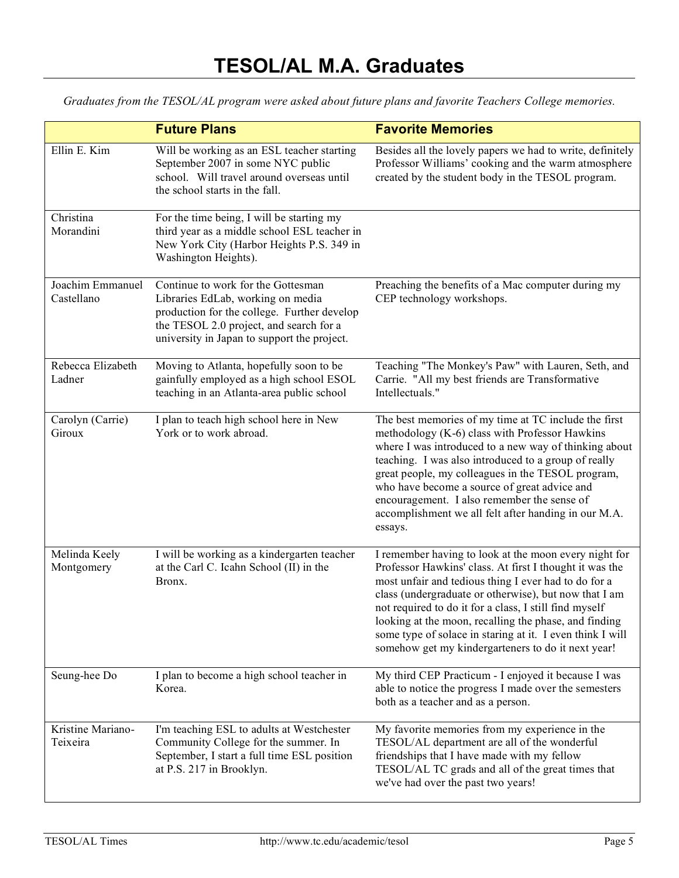*Graduates from the TESOL/AL program were asked about future plans and favorite Teachers College memories.*

|                                | <b>Future Plans</b>                                                                                                                                                                                              | <b>Favorite Memories</b>                                                                                                                                                                                                                                                                                                                                                                                                                                                |  |  |
|--------------------------------|------------------------------------------------------------------------------------------------------------------------------------------------------------------------------------------------------------------|-------------------------------------------------------------------------------------------------------------------------------------------------------------------------------------------------------------------------------------------------------------------------------------------------------------------------------------------------------------------------------------------------------------------------------------------------------------------------|--|--|
| Ellin E. Kim                   | Will be working as an ESL teacher starting<br>September 2007 in some NYC public<br>school. Will travel around overseas until<br>the school starts in the fall.                                                   | Besides all the lovely papers we had to write, definitely<br>Professor Williams' cooking and the warm atmosphere<br>created by the student body in the TESOL program.                                                                                                                                                                                                                                                                                                   |  |  |
| Christina<br>Morandini         | For the time being, I will be starting my<br>third year as a middle school ESL teacher in<br>New York City (Harbor Heights P.S. 349 in<br>Washington Heights).                                                   |                                                                                                                                                                                                                                                                                                                                                                                                                                                                         |  |  |
| Joachim Emmanuel<br>Castellano | Continue to work for the Gottesman<br>Libraries EdLab, working on media<br>production for the college. Further develop<br>the TESOL 2.0 project, and search for a<br>university in Japan to support the project. | Preaching the benefits of a Mac computer during my<br>CEP technology workshops.                                                                                                                                                                                                                                                                                                                                                                                         |  |  |
| Rebecca Elizabeth<br>Ladner    | Moving to Atlanta, hopefully soon to be<br>gainfully employed as a high school ESOL<br>teaching in an Atlanta-area public school                                                                                 | Teaching "The Monkey's Paw" with Lauren, Seth, and<br>Carrie. "All my best friends are Transformative<br>Intellectuals."                                                                                                                                                                                                                                                                                                                                                |  |  |
| Carolyn (Carrie)<br>Giroux     | I plan to teach high school here in New<br>York or to work abroad.                                                                                                                                               | The best memories of my time at TC include the first<br>methodology (K-6) class with Professor Hawkins<br>where I was introduced to a new way of thinking about<br>teaching. I was also introduced to a group of really<br>great people, my colleagues in the TESOL program,<br>who have become a source of great advice and<br>encouragement. I also remember the sense of<br>accomplishment we all felt after handing in our M.A.<br>essays.                          |  |  |
| Melinda Keely<br>Montgomery    | I will be working as a kindergarten teacher<br>at the Carl C. Icahn School (II) in the<br>Bronx.                                                                                                                 | I remember having to look at the moon every night for<br>Professor Hawkins' class. At first I thought it was the<br>most unfair and tedious thing I ever had to do for a<br>class (undergraduate or otherwise), but now that I am<br>not required to do it for a class, I still find myself<br>looking at the moon, recalling the phase, and finding<br>some type of solace in staring at it. I even think I will<br>somehow get my kindergarteners to do it next year! |  |  |
| Seung-hee Do                   | I plan to become a high school teacher in<br>Korea.                                                                                                                                                              | My third CEP Practicum - I enjoyed it because I was<br>able to notice the progress I made over the semesters<br>both as a teacher and as a person.                                                                                                                                                                                                                                                                                                                      |  |  |
| Kristine Mariano-<br>Teixeira  | I'm teaching ESL to adults at Westchester<br>Community College for the summer. In<br>September, I start a full time ESL position<br>at P.S. 217 in Brooklyn.                                                     | My favorite memories from my experience in the<br>TESOL/AL department are all of the wonderful<br>friendships that I have made with my fellow<br>TESOL/AL TC grads and all of the great times that<br>we've had over the past two years!                                                                                                                                                                                                                                |  |  |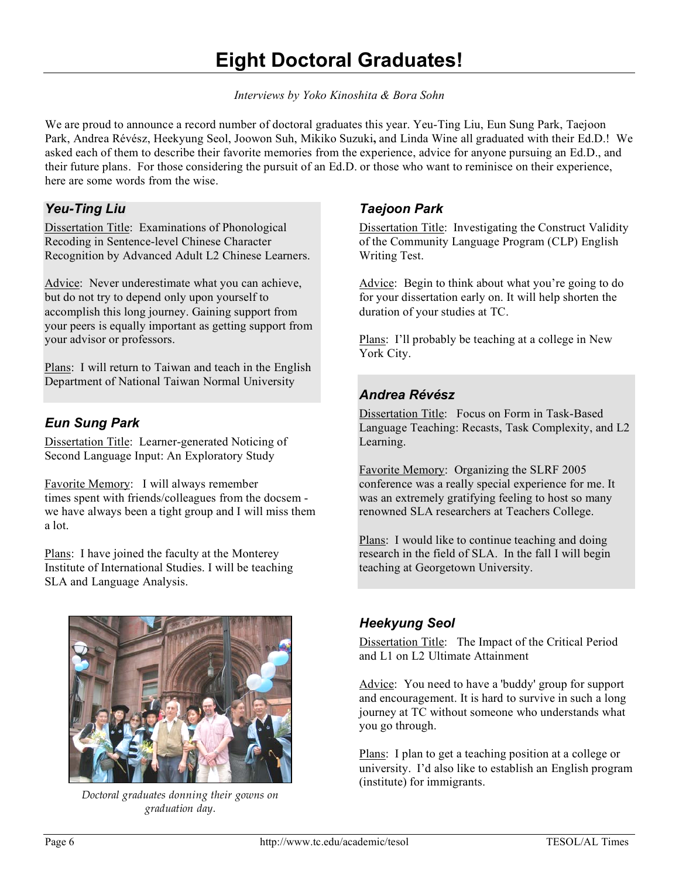# **Eight Doctoral Graduates!**

*Interviews by Yoko Kinoshita & Bora Sohn*

We are proud to announce a record number of doctoral graduates this year. Yeu-Ting Liu, Eun Sung Park, Taejoon Park, Andrea Révész, Heekyung Seol, Joowon Suh, Mikiko Suzuki**,** and Linda Wine all graduated with their Ed.D.! We asked each of them to describe their favorite memories from the experience, advice for anyone pursuing an Ed.D., and their future plans. For those considering the pursuit of an Ed.D. or those who want to reminisce on their experience, here are some words from the wise.

#### *Yeu-Ting Liu*

Dissertation Title: Examinations of Phonological Recoding in Sentence-level Chinese Character Recognition by Advanced Adult L2 Chinese Learners.

Advice: Never underestimate what you can achieve, but do not try to depend only upon yourself to accomplish this long journey. Gaining support from your peers is equally important as getting support from your advisor or professors.

Plans: I will return to Taiwan and teach in the English Department of National Taiwan Normal University

#### *Eun Sung Park*

Dissertation Title: Learner-generated Noticing of Second Language Input: An Exploratory Study

Favorite Memory: I will always remember times spent with friends/colleagues from the docsem we have always been a tight group and I will miss them a lot.

Plans: I have joined the faculty at the Monterey Institute of International Studies. I will be teaching SLA and Language Analysis.



*Doctoral graduates donning their gowns on graduation day.*

#### *Taejoon Park*

Dissertation Title: Investigating the Construct Validity of the Community Language Program (CLP) English Writing Test.

Advice:Begin to think about what you're going to do for your dissertation early on. It will help shorten the duration of your studies at TC.

Plans: I'll probably be teaching at a college in New York City.

#### *Andrea Révész*

Dissertation Title: Focus on Form in Task-Based Language Teaching: Recasts, Task Complexity, and L2 Learning.

Favorite Memory: Organizing the SLRF 2005 conference was a really special experience for me. It was an extremely gratifying feeling to host so many renowned SLA researchers at Teachers College.

Plans: I would like to continue teaching and doing research in the field of SLA. In the fall I will begin teaching at Georgetown University.

#### *Heekyung Seol*

Dissertation Title: The Impact of the Critical Period and L1 on L2 Ultimate Attainment

Advice: You need to have a 'buddy' group for support and encouragement. It is hard to survive in such a long journey at TC without someone who understands what you go through.

Plans: I plan to get a teaching position at a college or university. I'd also like to establish an English program (institute) for immigrants.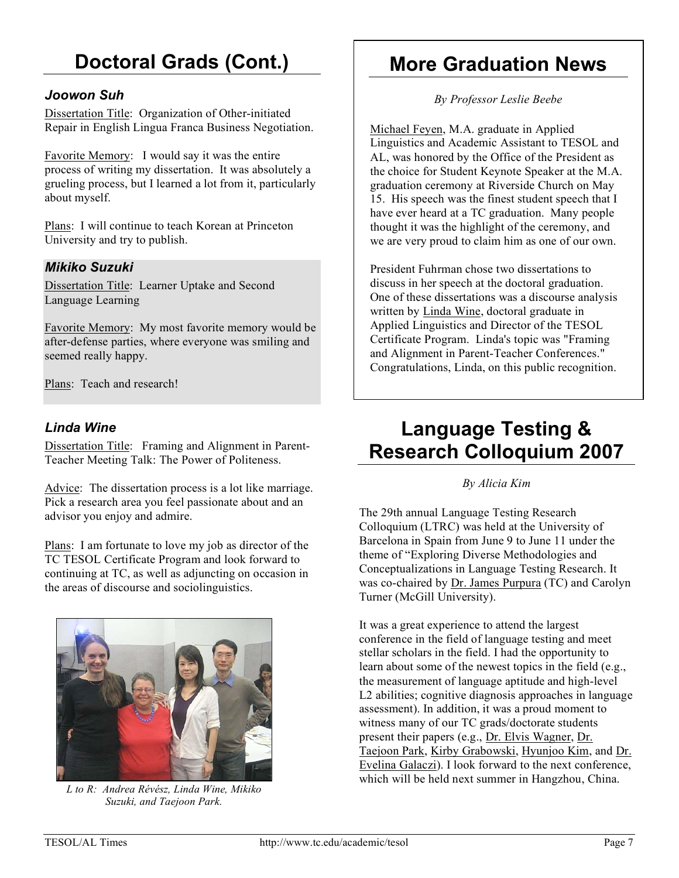# **Doctoral Grads (Cont.)**

#### *Joowon Suh*

Dissertation Title: Organization of Other-initiated Repair in English Lingua Franca Business Negotiation.

Favorite Memory: I would say it was the entire process of writing my dissertation. It was absolutely a grueling process, but I learned a lot from it, particularly about myself.

Plans: I will continue to teach Korean at Princeton University and try to publish.

#### *Mikiko Suzuki*

Dissertation Title: Learner Uptake and Second Language Learning

Favorite Memory: My most favorite memory would be after-defense parties, where everyone was smiling and seemed really happy.

Plans: Teach and research!

#### *Linda Wine*

Dissertation Title: Framing and Alignment in Parent-Teacher Meeting Talk: The Power of Politeness.

Advice: The dissertation process is a lot like marriage. Pick a research area you feel passionate about and an advisor you enjoy and admire.

Plans: I am fortunate to love my job as director of the TC TESOL Certificate Program and look forward to continuing at TC, as well as adjuncting on occasion in the areas of discourse and sociolinguistics.



*L to R: Andrea Révész, Linda Wine, Mikiko Suzuki, and Taejoon Park.*

### **More Graduation News**

*By Professor Leslie Beebe*

Michael Feyen, M.A. graduate in Applied Linguistics and Academic Assistant to TESOL and AL, was honored by the Office of the President as the choice for Student Keynote Speaker at the M.A. graduation ceremony at Riverside Church on May 15. His speech was the finest student speech that I have ever heard at a TC graduation. Many people thought it was the highlight of the ceremony, and we are very proud to claim him as one of our own.

President Fuhrman chose two dissertations to discuss in her speech at the doctoral graduation. One of these dissertations was a discourse analysis written by Linda Wine, doctoral graduate in Applied Linguistics and Director of the TESOL Certificate Program. Linda's topic was "Framing and Alignment in Parent-Teacher Conferences." Congratulations, Linda, on this public recognition.

# **Language Testing & Research Colloquium 2007**

#### *By Alicia Kim*

The 29th annual Language Testing Research Colloquium (LTRC) was held at the University of Barcelona in Spain from June 9 to June 11 under the theme of "Exploring Diverse Methodologies and Conceptualizations in Language Testing Research. It was co-chaired by Dr. James Purpura (TC) and Carolyn Turner (McGill University).

It was a great experience to attend the largest conference in the field of language testing and meet stellar scholars in the field. I had the opportunity to learn about some of the newest topics in the field (e.g., the measurement of language aptitude and high-level L2 abilities; cognitive diagnosis approaches in language assessment). In addition, it was a proud moment to witness many of our TC grads/doctorate students present their papers (e.g., Dr. Elvis Wagner, Dr. Taejoon Park, Kirby Grabowski, Hyunjoo Kim, and Dr. Evelina Galaczi). I look forward to the next conference, which will be held next summer in Hangzhou, China.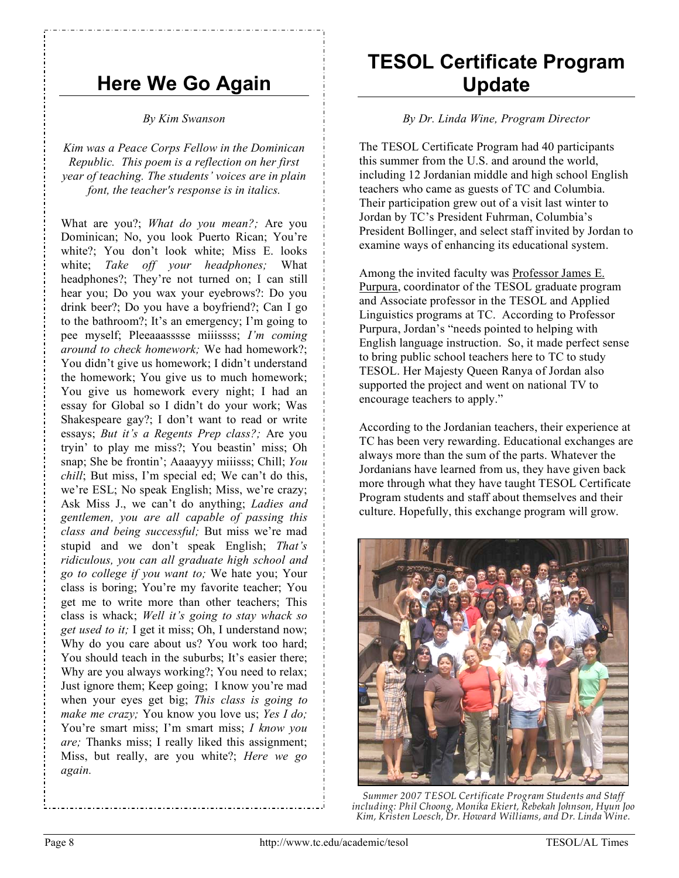### **Here We Go Again**

#### *By Kim Swanson*

*Kim was a Peace Corps Fellow in the Dominican Republic. This poem is a reflection on her first year of teaching. The students' voices are in plain font, the teacher's response is in italics.*

What are you?; *What do you mean?;* Are you Dominican; No, you look Puerto Rican; You're white?; You don't look white; Miss E. looks white; *Take off your headphones;* What headphones?; They're not turned on; I can still hear you; Do you wax your eyebrows?: Do you drink beer?; Do you have a boyfriend?; Can I go to the bathroom?; It's an emergency; I'm going to pee myself; Pleeaaasssse miiissss; *I'm coming around to check homework;* We had homework?; You didn't give us homework; I didn't understand the homework; You give us to much homework; You give us homework every night; I had an essay for Global so I didn't do your work; Was Shakespeare gay?; I don't want to read or write essays; *But it's a Regents Prep class?;* Are you tryin' to play me miss?; You beastin' miss; Oh snap; She be frontin'; Aaaayyy miiisss; Chill; *You chill*; But miss, I'm special ed; We can't do this, we're ESL; No speak English; Miss, we're crazy; Ask Miss J., we can't do anything; *Ladies and gentlemen, you are all capable of passing this class and being successful;* But miss we're mad stupid and we don't speak English; *That's ridiculous, you can all graduate high school and go to college if you want to;* We hate you; Your class is boring; You're my favorite teacher; You get me to write more than other teachers; This class is whack; *Well it's going to stay whack so get used to it;* I get it miss; Oh, I understand now; Why do you care about us? You work too hard; You should teach in the suburbs; It's easier there; Why are you always working?; You need to relax; Just ignore them; Keep going; I know you're mad when your eyes get big; *This class is going to make me crazy;* You know you love us; *Yes I do;* You're smart miss; I'm smart miss; *I know you are;* Thanks miss; I really liked this assignment; Miss, but really, are you white?; *Here we go again.*

### **TESOL Certificate Program Update**

#### *By Dr. Linda Wine, Program Director*

The TESOL Certificate Program had 40 participants this summer from the U.S. and around the world, including 12 Jordanian middle and high school English teachers who came as guests of TC and Columbia. Their participation grew out of a visit last winter to Jordan by TC's President Fuhrman, Columbia's President Bollinger, and select staff invited by Jordan to examine ways of enhancing its educational system.

Among the invited faculty was Professor James E. Purpura, coordinator of the TESOL graduate program and Associate professor in the TESOL and Applied Linguistics programs at TC. According to Professor Purpura, Jordan's "needs pointed to helping with English language instruction. So, it made perfect sense to bring public school teachers here to TC to study TESOL. Her Majesty Queen Ranya of Jordan also supported the project and went on national TV to encourage teachers to apply."

According to the Jordanian teachers, their experience at TC has been very rewarding. Educational exchanges are always more than the sum of the parts. Whatever the Jordanians have learned from us, they have given back more through what they have taught TESOL Certificate Program students and staff about themselves and their culture. Hopefully, this exchange program will grow.



*Summer 2007 TESOL Certificate Program Students and Staff including: Phil Choong, Monika Ekiert, Rebekah Johnson, Hyun Joo Kim, Kristen Loesch, Dr. Howard Williams, and Dr. Linda Wine.*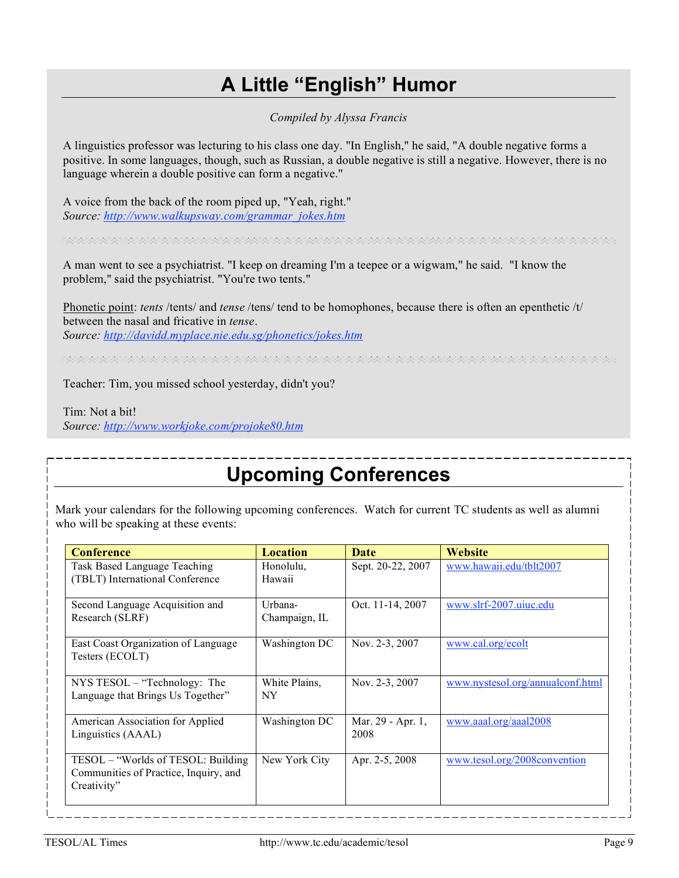### **A Little "English" Humor**

*Compiled by Alyssa Francis*

A linguistics professor was lecturing to his class one day. "In English," he said, "A double negative forms a positive. In some languages, though, such as Russian, a double negative is still a negative. However, there is no language wherein a double positive can form a negative."

A voice from the back of the room piped up, "Yeah, right." *Source: http://www.walkupsway.com/grammar\_jokes.htm*

A man went to see a psychiatrist. "I keep on dreaming I'm a teepee or a wigwam," he said. "I know the problem," said the psychiatrist. "You're two tents."

Phonetic point: *tents* /tents/ and *tense* /tens/ tend to be homophones, because there is often an epenthetic /t/ between the nasal and fricative in *tense*. *Source: http://davidd.myplace.nie.edu.sg/phonetics/jokes.htm*

Teacher: Tim, you missed school yesterday, didn't you?

Tim: Not a bit! *Source: http://www.workjoke.com/projoke80.htm*

# **Upcoming Conferences**

Mark your calendars for the following upcoming conferences. Watch for current TC students as well as alumni who will be speaking at these events:

| <b>Conference</b>                                                                           | <b>Location</b>            | <b>Date</b>               | <b>Website</b>                   |
|---------------------------------------------------------------------------------------------|----------------------------|---------------------------|----------------------------------|
| Task Based Language Teaching<br>(TBLT) International Conference                             | Honolulu,<br>Hawaii        | Sept. 20-22, 2007         | www.hawaii.edu/tblt2007          |
| Second Language Acquisition and<br>Research (SLRF)                                          | Urbana-<br>Champaign, IL   | Oct. 11-14, 2007          | www.slrf-2007.uiuc.edu           |
| East Coast Organization of Language<br>Testers (ECOLT)                                      | Washington DC              | Nov. 2-3, 2007            | www.cal.org/ecolt                |
| $NYS$ TESOL – "Technology: The<br>Language that Brings Us Together"                         | White Plains,<br><b>NY</b> | Nov. 2-3, 2007            | www.nystesol.org/annualconf.html |
| American Association for Applied<br>Linguistics (AAAL)                                      | Washington DC              | Mar. 29 - Apr. 1,<br>2008 | www.aaal.org/aaal2008            |
| TESOL – "Worlds of TESOL: Building"<br>Communities of Practice, Inquiry, and<br>Creativity" | New York City              | Apr. 2-5, 2008            | www.tesol.org/2008convention     |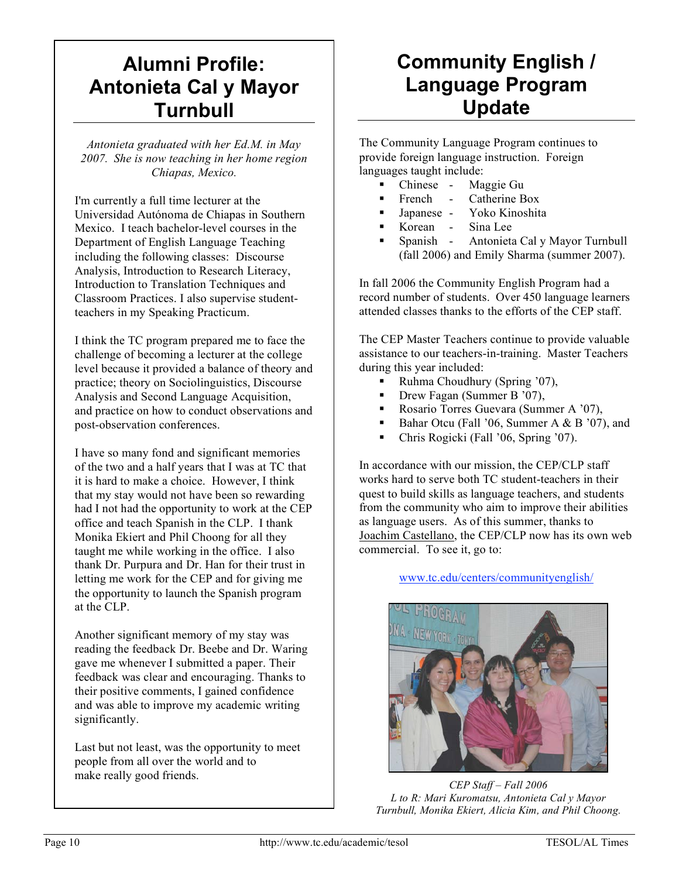# **Alumni Profile: Antonieta Cal y Mayor Turnbull**

*Antonieta graduated with her Ed.M. in May 2007. She is now teaching in her home region Chiapas, Mexico.*

I'm currently a full time lecturer at the Universidad Autónoma de Chiapas in Southern Mexico. I teach bachelor-level courses in the Department of English Language Teaching including the following classes: Discourse Analysis, Introduction to Research Literacy, Introduction to Translation Techniques and Classroom Practices. I also supervise studentteachers in my Speaking Practicum.

I think the TC program prepared me to face the challenge of becoming a lecturer at the college level because it provided a balance of theory and practice; theory on Sociolinguistics, Discourse Analysis and Second Language Acquisition, and practice on how to conduct observations and post-observation conferences.

I have so many fond and significant memories of the two and a half years that I was at TC that it is hard to make a choice. However, I think that my stay would not have been so rewarding had I not had the opportunity to work at the CEP office and teach Spanish in the CLP. I thank Monika Ekiert and Phil Choong for all they taught me while working in the office. I also thank Dr. Purpura and Dr. Han for their trust in letting me work for the CEP and for giving me the opportunity to launch the Spanish program at the CLP.

Another significant memory of my stay was reading the feedback Dr. Beebe and Dr. Waring gave me whenever I submitted a paper. Their feedback was clear and encouraging. Thanks to their positive comments, I gained confidence and was able to improve my academic writing significantly.

Last but not least, was the opportunity to meet people from all over the world and to make really good friends. **CEP Staff** – Fall 2006

# **Community English / Language Program Update**

The Community Language Program continues to provide foreign language instruction. Foreign languages taught include:

- Chinese Maggie Gu
- French Catherine Box
- Japanese Yoko Kinoshita
- Korean Sina Lee
- Spanish Antonieta Cal y Mayor Turnbull (fall 2006) and Emily Sharma (summer 2007).

In fall 2006 the Community English Program had a record number of students. Over 450 language learners attended classes thanks to the efforts of the CEP staff.

The CEP Master Teachers continue to provide valuable assistance to our teachers-in-training. Master Teachers during this year included:

- Ruhma Choudhury (Spring '07),
- Drew Fagan (Summer B '07),
- Rosario Torres Guevara (Summer A '07),
- Bahar Otcu (Fall '06, Summer A & B '07), and
- Chris Rogicki (Fall '06, Spring '07).

In accordance with our mission, the CEP/CLP staff works hard to serve both TC student-teachers in their quest to build skills as language teachers, and students from the community who aim to improve their abilities as language users. As of this summer, thanks to Joachim Castellano, the CEP/CLP now has its own web commercial. To see it, go to:

#### www.tc.edu/centers/communityenglish/



*L to R: Mari Kuromatsu, Antonieta Cal y Mayor Turnbull, Monika Ekiert, Alicia Kim, and Phil Choong.*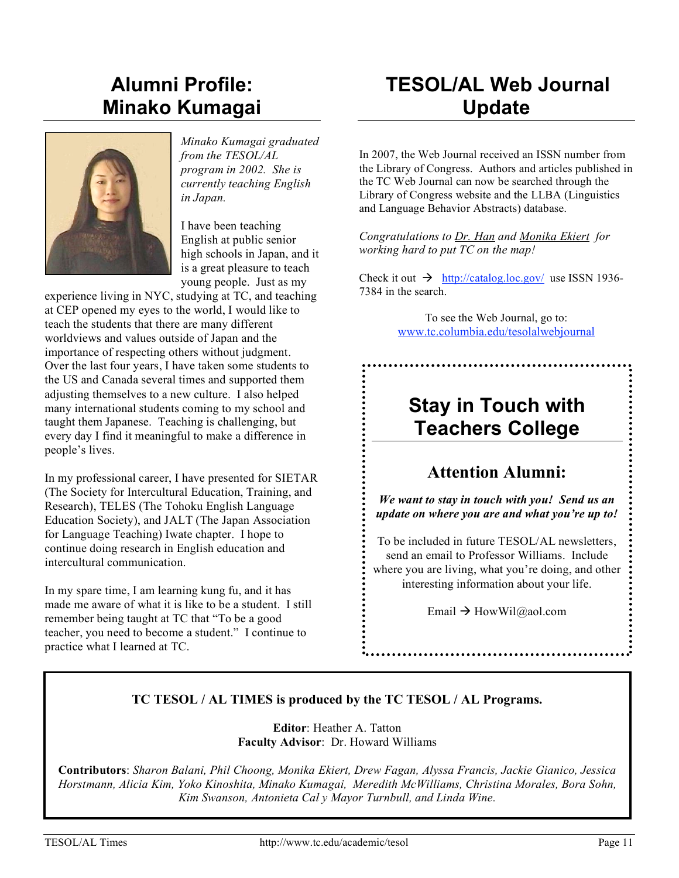# **Alumni Profile: Minako Kumagai**



*Minako Kumagai graduated from the TESOL/AL program in 2002. She is currently teaching English in Japan.*

I have been teaching English at public senior high schools in Japan, and it is a great pleasure to teach young people. Just as my

experience living in NYC, studying at TC, and teaching at CEP opened my eyes to the world, I would like to teach the students that there are many different worldviews and values outside of Japan and the importance of respecting others without judgment. Over the last four years, I have taken some students to the US and Canada several times and supported them adjusting themselves to a new culture. I also helped many international students coming to my school and taught them Japanese. Teaching is challenging, but every day I find it meaningful to make a difference in people's lives.

In my professional career, I have presented for SIETAR (The Society for Intercultural Education, Training, and Research), TELES (The Tohoku English Language Education Society), and JALT (The Japan Association for Language Teaching) Iwate chapter. I hope to continue doing research in English education and intercultural communication.

In my spare time, I am learning kung fu, and it has made me aware of what it is like to be a student. I still remember being taught at TC that "To be a good teacher, you need to become a student." I continue to practice what I learned at TC.

# **TESOL/AL Web Journal Update**

In 2007, the Web Journal received an ISSN number from the Library of Congress. Authors and articles published in the TC Web Journal can now be searched through the Library of Congress website and the LLBA (Linguistics and Language Behavior Abstracts) database.

*Congratulations to Dr. Han and Monika Ekiert for working hard to put TC on the map!*

Check it out  $\rightarrow$  http://catalog.loc.gov/ use ISSN 1936-7384 in the search.

> To see the Web Journal, go to: www.tc.columbia.edu/tesolalwebjournal

# **Stay in Touch with Teachers College**

### **Attention Alumni:**

*We want to stay in touch with you! Send us an update on where you are and what you're up to!*

To be included in future TESOL/AL newsletters, send an email to Professor Williams. Include where you are living, what you're doing, and other interesting information about your life.

Email  $\rightarrow$  HowWil@aol.com

#### **TC TESOL / AL TIMES is produced by the TC TESOL / AL Programs.**

**Editor**: Heather A. Tatton **Faculty Advisor**: Dr. Howard Williams

**Contributors**: *Sharon Balani, Phil Choong, Monika Ekiert, Drew Fagan, Alyssa Francis, Jackie Gianico, Jessica Horstmann, Alicia Kim, Yoko Kinoshita, Minako Kumagai, Meredith McWilliams, Christina Morales, Bora Sohn, Kim Swanson, Antonieta Cal y Mayor Turnbull, and Linda Wine.*